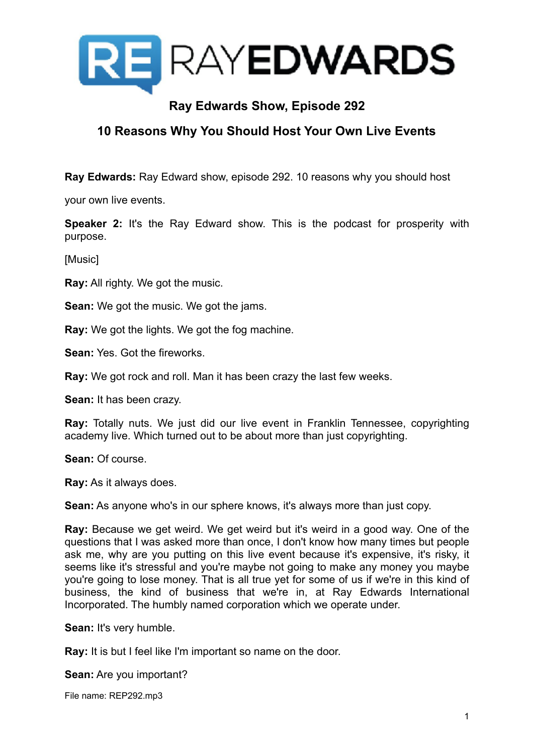

## **Ray Edwards Show, Episode 292**

## **10 Reasons Why You Should Host Your Own Live Events**

**Ray Edwards:** Ray Edward show, episode 292. 10 reasons why you should host

your own live events.

**Speaker 2:** It's the Ray Edward show. This is the podcast for prosperity with purpose.

[Music]

**Ray:** All righty. We got the music.

**Sean:** We got the music. We got the jams.

**Ray:** We got the lights. We got the fog machine.

**Sean:** Yes. Got the fireworks.

**Ray:** We got rock and roll. Man it has been crazy the last few weeks.

**Sean:** It has been crazy.

**Ray:** Totally nuts. We just did our live event in Franklin Tennessee, copyrighting academy live. Which turned out to be about more than just copyrighting.

**Sean:** Of course.

**Ray:** As it always does.

**Sean:** As anyone who's in our sphere knows, it's always more than just copy.

**Ray:** Because we get weird. We get weird but it's weird in a good way. One of the questions that I was asked more than once, I don't know how many times but people ask me, why are you putting on this live event because it's expensive, it's risky, it seems like it's stressful and you're maybe not going to make any money you maybe you're going to lose money. That is all true yet for some of us if we're in this kind of business, the kind of business that we're in, at Ray Edwards International Incorporated. The humbly named corporation which we operate under.

**Sean:** It's very humble.

**Ray:** It is but I feel like I'm important so name on the door.

**Sean:** Are you important?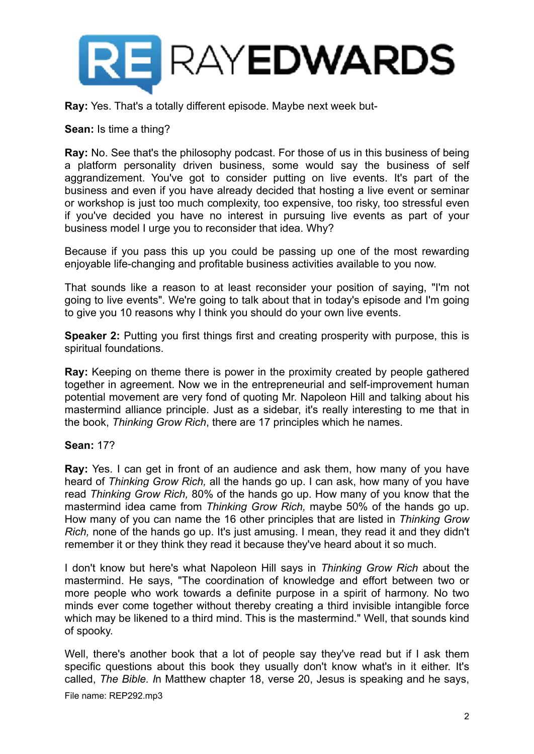

**Ray:** Yes. That's a totally different episode. Maybe next week but-

**Sean:** Is time a thing?

**Ray:** No. See that's the philosophy podcast. For those of us in this business of being a platform personality driven business, some would say the business of self aggrandizement. You've got to consider putting on live events. It's part of the business and even if you have already decided that hosting a live event or seminar or workshop is just too much complexity, too expensive, too risky, too stressful even if you've decided you have no interest in pursuing live events as part of your business model I urge you to reconsider that idea. Why?

Because if you pass this up you could be passing up one of the most rewarding enjoyable life-changing and profitable business activities available to you now.

That sounds like a reason to at least reconsider your position of saying, "I'm not going to live events". We're going to talk about that in today's episode and I'm going to give you 10 reasons why I think you should do your own live events.

**Speaker 2:** Putting you first things first and creating prosperity with purpose, this is spiritual foundations.

**Ray:** Keeping on theme there is power in the proximity created by people gathered together in agreement. Now we in the entrepreneurial and self-improvement human potential movement are very fond of quoting Mr. Napoleon Hill and talking about his mastermind alliance principle. Just as a sidebar, it's really interesting to me that in the book, *Thinking Grow Rich*, there are 17 principles which he names.

## **Sean:** 17?

**Ray:** Yes. I can get in front of an audience and ask them, how many of you have heard of *Thinking Grow Rich,* all the hands go up. I can ask, how many of you have read *Thinking Grow Rich,* 80% of the hands go up. How many of you know that the mastermind idea came from *Thinking Grow Rich,* maybe 50% of the hands go up. How many of you can name the 16 other principles that are listed in *Thinking Grow Rich,* none of the hands go up. It's just amusing. I mean, they read it and they didn't remember it or they think they read it because they've heard about it so much.

I don't know but here's what Napoleon Hill says in *Thinking Grow Rich* about the mastermind. He says, "The coordination of knowledge and effort between two or more people who work towards a definite purpose in a spirit of harmony. No two minds ever come together without thereby creating a third invisible intangible force which may be likened to a third mind. This is the mastermind." Well, that sounds kind of spooky.

Well, there's another book that a lot of people say they've read but if I ask them specific questions about this book they usually don't know what's in it either. It's called, *The Bible. I*n Matthew chapter 18, verse 20, Jesus is speaking and he says,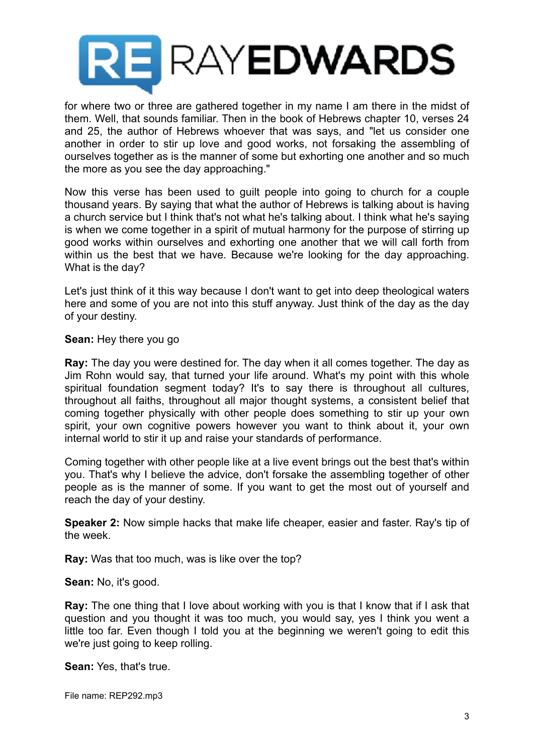

for where two or three are gathered together in my name I am there in the midst of them. Well, that sounds familiar. Then in the book of Hebrews chapter 10, verses 24 and 25, the author of Hebrews whoever that was says, and "let us consider one another in order to stir up love and good works, not forsaking the assembling of ourselves together as is the manner of some but exhorting one another and so much the more as you see the day approaching."

Now this verse has been used to guilt people into going to church for a couple thousand years. By saying that what the author of Hebrews is talking about is having a church service but I think that's not what he's talking about. I think what he's saying is when we come together in a spirit of mutual harmony for the purpose of stirring up good works within ourselves and exhorting one another that we will call forth from within us the best that we have. Because we're looking for the day approaching. What is the day?

Let's just think of it this way because I don't want to get into deep theological waters here and some of you are not into this stuff anyway. Just think of the day as the day of your destiny.

**Sean:** Hey there you go

**Ray:** The day you were destined for. The day when it all comes together. The day as Jim Rohn would say, that turned your life around. What's my point with this whole spiritual foundation segment today? It's to say there is throughout all cultures, throughout all faiths, throughout all major thought systems, a consistent belief that coming together physically with other people does something to stir up your own spirit, your own cognitive powers however you want to think about it, your own internal world to stir it up and raise your standards of performance.

Coming together with other people like at a live event brings out the best that's within you. That's why I believe the advice, don't forsake the assembling together of other people as is the manner of some. If you want to get the most out of yourself and reach the day of your destiny.

**Speaker 2:** Now simple hacks that make life cheaper, easier and faster. Ray's tip of the week.

**Ray:** Was that too much, was is like over the top?

**Sean:** No, it's good.

**Ray:** The one thing that I love about working with you is that I know that if I ask that question and you thought it was too much, you would say, yes I think you went a little too far. Even though I told you at the beginning we weren't going to edit this we're just going to keep rolling.

**Sean:** Yes, that's true.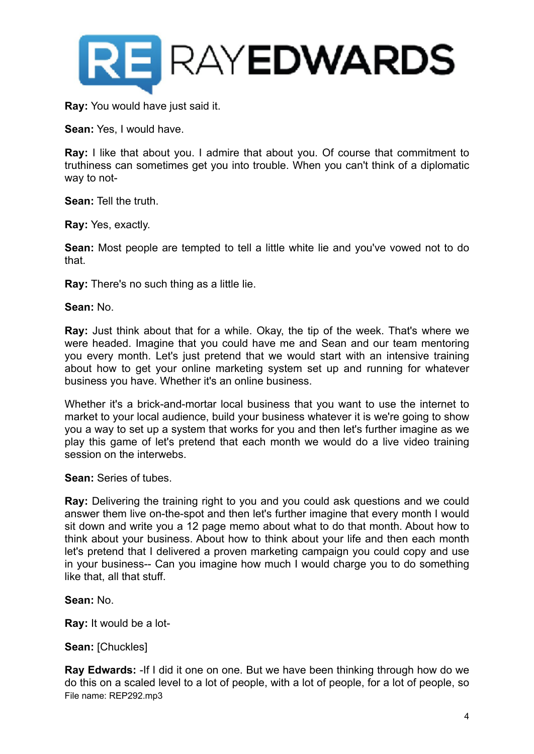

**Ray:** You would have just said it.

**Sean:** Yes, I would have.

**Ray:** I like that about you. I admire that about you. Of course that commitment to truthiness can sometimes get you into trouble. When you can't think of a diplomatic way to not-

**Sean:** Tell the truth.

**Ray:** Yes, exactly.

**Sean:** Most people are tempted to tell a little white lie and you've vowed not to do that.

**Ray:** There's no such thing as a little lie.

**Sean:** No.

**Ray:** Just think about that for a while. Okay, the tip of the week. That's where we were headed. Imagine that you could have me and Sean and our team mentoring you every month. Let's just pretend that we would start with an intensive training about how to get your online marketing system set up and running for whatever business you have. Whether it's an online business.

Whether it's a brick-and-mortar local business that you want to use the internet to market to your local audience, build your business whatever it is we're going to show you a way to set up a system that works for you and then let's further imagine as we play this game of let's pretend that each month we would do a live video training session on the interwebs.

**Sean:** Series of tubes.

**Ray:** Delivering the training right to you and you could ask questions and we could answer them live on-the-spot and then let's further imagine that every month I would sit down and write you a 12 page memo about what to do that month. About how to think about your business. About how to think about your life and then each month let's pretend that I delivered a proven marketing campaign you could copy and use in your business-- Can you imagine how much I would charge you to do something like that, all that stuff.

**Sean:** No.

**Ray:** It would be a lot-

**Sean:** [Chuckles]

**Ray Edwards:** -If I did it one on one. But we have been thinking through how do we do this on a scaled level to a lot of people, with a lot of people, for a lot of people, so File name: REP292.mp3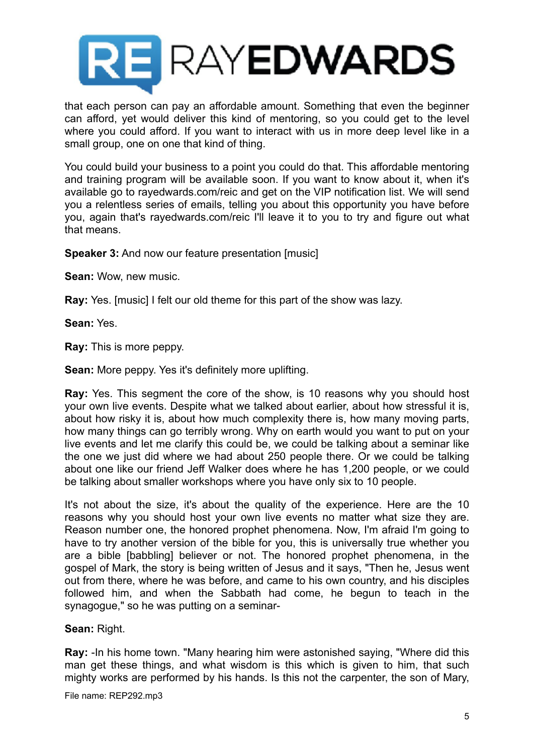

that each person can pay an affordable amount. Something that even the beginner can afford, yet would deliver this kind of mentoring, so you could get to the level where you could afford. If you want to interact with us in more deep level like in a small group, one on one that kind of thing.

You could build your business to a point you could do that. This affordable mentoring and training program will be available soon. If you want to know about it, when it's available go to rayedwards.com/reic and get on the VIP notification list. We will send you a relentless series of emails, telling you about this opportunity you have before you, again that's rayedwards.com/reic I'll leave it to you to try and figure out what that means.

**Speaker 3:** And now our feature presentation [music]

**Sean:** Wow, new music.

**Ray:** Yes. [music] I felt our old theme for this part of the show was lazy.

**Sean:** Yes.

**Ray:** This is more peppy.

**Sean:** More peppy. Yes it's definitely more uplifting.

**Ray:** Yes. This segment the core of the show, is 10 reasons why you should host your own live events. Despite what we talked about earlier, about how stressful it is, about how risky it is, about how much complexity there is, how many moving parts, how many things can go terribly wrong. Why on earth would you want to put on your live events and let me clarify this could be, we could be talking about a seminar like the one we just did where we had about 250 people there. Or we could be talking about one like our friend Jeff Walker does where he has 1,200 people, or we could be talking about smaller workshops where you have only six to 10 people.

It's not about the size, it's about the quality of the experience. Here are the 10 reasons why you should host your own live events no matter what size they are. Reason number one, the honored prophet phenomena. Now, I'm afraid I'm going to have to try another version of the bible for you, this is universally true whether you are a bible [babbling] believer or not. The honored prophet phenomena, in the gospel of Mark, the story is being written of Jesus and it says, "Then he, Jesus went out from there, where he was before, and came to his own country, and his disciples followed him, and when the Sabbath had come, he begun to teach in the synagogue," so he was putting on a seminar-

**Sean:** Right.

**Ray:** -In his home town. "Many hearing him were astonished saying, "Where did this man get these things, and what wisdom is this which is given to him, that such mighty works are performed by his hands. Is this not the carpenter, the son of Mary,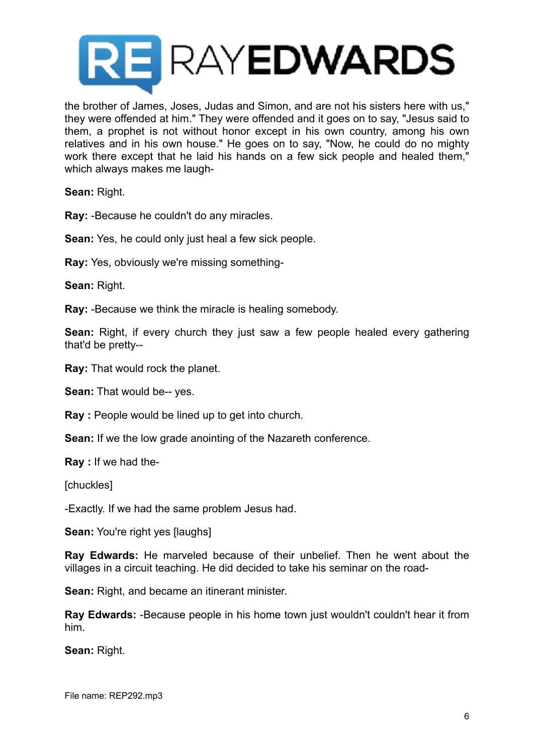

the brother of James, Joses, Judas and Simon, and are not his sisters here with us," they were offended at him." They were offended and it goes on to say, "Jesus said to them, a prophet is not without honor except in his own country, among his own relatives and in his own house." He goes on to say, "Now, he could do no mighty work there except that he laid his hands on a few sick people and healed them," which always makes me laugh-

**Sean:** Right.

**Ray:** -Because he couldn't do any miracles.

**Sean:** Yes, he could only just heal a few sick people.

**Ray:** Yes, obviously we're missing something-

**Sean:** Right.

**Ray:** -Because we think the miracle is healing somebody.

**Sean:** Right, if every church they just saw a few people healed every gathering that'd be pretty--

**Ray:** That would rock the planet.

**Sean:** That would be-- yes.

**Ray :** People would be lined up to get into church.

**Sean:** If we the low grade anointing of the Nazareth conference.

**Ray :** If we had the-

[chuckles]

-Exactly. If we had the same problem Jesus had.

**Sean:** You're right yes [laughs]

**Ray Edwards:** He marveled because of their unbelief. Then he went about the villages in a circuit teaching. He did decided to take his seminar on the road-

**Sean:** Right, and became an itinerant minister.

**Ray Edwards:** -Because people in his home town just wouldn't couldn't hear it from him.

**Sean:** Right.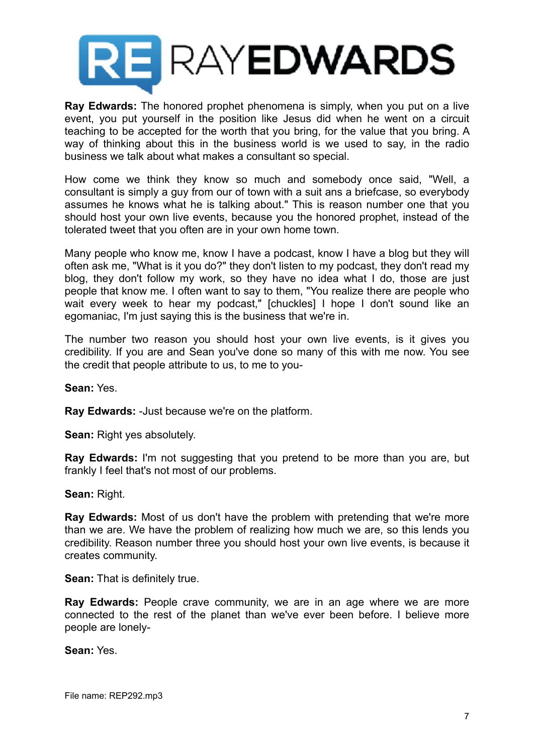

**Ray Edwards:** The honored prophet phenomena is simply, when you put on a live event, you put yourself in the position like Jesus did when he went on a circuit teaching to be accepted for the worth that you bring, for the value that you bring. A way of thinking about this in the business world is we used to say, in the radio business we talk about what makes a consultant so special.

How come we think they know so much and somebody once said, "Well, a consultant is simply a guy from our of town with a suit ans a briefcase, so everybody assumes he knows what he is talking about." This is reason number one that you should host your own live events, because you the honored prophet, instead of the tolerated tweet that you often are in your own home town.

Many people who know me, know I have a podcast, know I have a blog but they will often ask me, "What is it you do?" they don't listen to my podcast, they don't read my blog, they don't follow my work, so they have no idea what I do, those are just people that know me. I often want to say to them, "You realize there are people who wait every week to hear my podcast," [chuckles] I hope I don't sound like an egomaniac, I'm just saying this is the business that we're in.

The number two reason you should host your own live events, is it gives you credibility. If you are and Sean you've done so many of this with me now. You see the credit that people attribute to us, to me to you-

**Sean:** Yes.

**Ray Edwards:** -Just because we're on the platform.

**Sean:** Right yes absolutely.

**Ray Edwards:** I'm not suggesting that you pretend to be more than you are, but frankly I feel that's not most of our problems.

**Sean:** Right.

**Ray Edwards:** Most of us don't have the problem with pretending that we're more than we are. We have the problem of realizing how much we are, so this lends you credibility. Reason number three you should host your own live events, is because it creates community.

**Sean:** That is definitely true.

**Ray Edwards:** People crave community, we are in an age where we are more connected to the rest of the planet than we've ever been before. I believe more people are lonely-

**Sean:** Yes.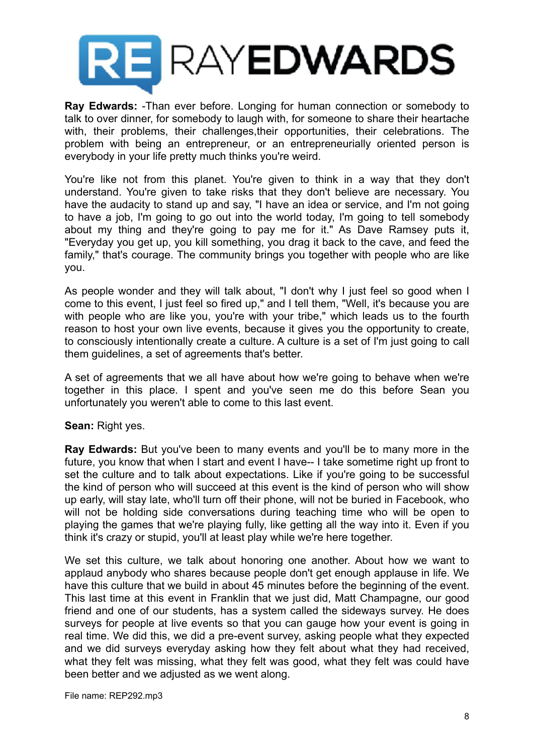

**Ray Edwards:** -Than ever before. Longing for human connection or somebody to talk to over dinner, for somebody to laugh with, for someone to share their heartache with, their problems, their challenges,their opportunities, their celebrations. The problem with being an entrepreneur, or an entrepreneurially oriented person is everybody in your life pretty much thinks you're weird.

You're like not from this planet. You're given to think in a way that they don't understand. You're given to take risks that they don't believe are necessary. You have the audacity to stand up and say, "I have an idea or service, and I'm not going to have a job, I'm going to go out into the world today, I'm going to tell somebody about my thing and they're going to pay me for it." As Dave Ramsey puts it, "Everyday you get up, you kill something, you drag it back to the cave, and feed the family," that's courage. The community brings you together with people who are like you.

As people wonder and they will talk about, "I don't why I just feel so good when I come to this event, I just feel so fired up," and I tell them, "Well, it's because you are with people who are like you, you're with your tribe," which leads us to the fourth reason to host your own live events, because it gives you the opportunity to create, to consciously intentionally create a culture. A culture is a set of I'm just going to call them guidelines, a set of agreements that's better.

A set of agreements that we all have about how we're going to behave when we're together in this place. I spent and you've seen me do this before Sean you unfortunately you weren't able to come to this last event.

**Sean:** Right yes.

**Ray Edwards:** But you've been to many events and you'll be to many more in the future, you know that when I start and event I have-- I take sometime right up front to set the culture and to talk about expectations. Like if you're going to be successful the kind of person who will succeed at this event is the kind of person who will show up early, will stay late, who'll turn off their phone, will not be buried in Facebook, who will not be holding side conversations during teaching time who will be open to playing the games that we're playing fully, like getting all the way into it. Even if you think it's crazy or stupid, you'll at least play while we're here together.

We set this culture, we talk about honoring one another. About how we want to applaud anybody who shares because people don't get enough applause in life. We have this culture that we build in about 45 minutes before the beginning of the event. This last time at this event in Franklin that we just did, Matt Champagne, our good friend and one of our students, has a system called the sideways survey. He does surveys for people at live events so that you can gauge how your event is going in real time. We did this, we did a pre-event survey, asking people what they expected and we did surveys everyday asking how they felt about what they had received, what they felt was missing, what they felt was good, what they felt was could have been better and we adjusted as we went along.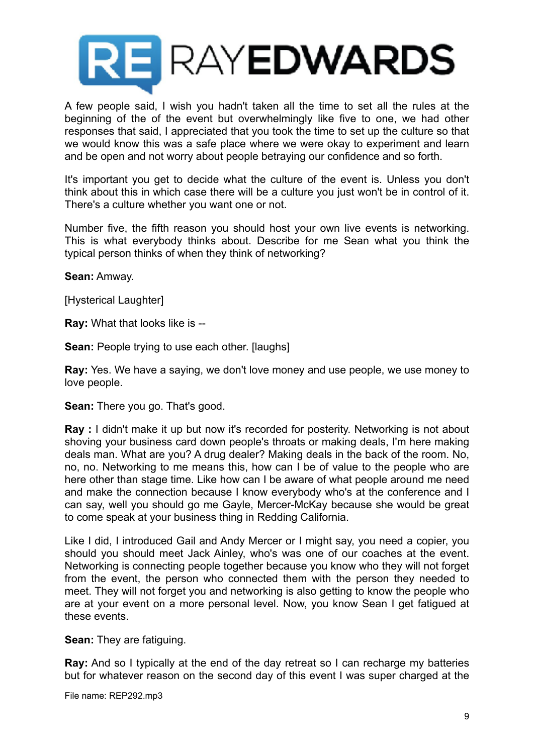

A few people said, I wish you hadn't taken all the time to set all the rules at the beginning of the of the event but overwhelmingly like five to one, we had other responses that said, I appreciated that you took the time to set up the culture so that we would know this was a safe place where we were okay to experiment and learn and be open and not worry about people betraying our confidence and so forth.

It's important you get to decide what the culture of the event is. Unless you don't think about this in which case there will be a culture you just won't be in control of it. There's a culture whether you want one or not.

Number five, the fifth reason you should host your own live events is networking. This is what everybody thinks about. Describe for me Sean what you think the typical person thinks of when they think of networking?

**Sean:** Amway.

[Hysterical Laughter]

**Ray:** What that looks like is --

**Sean:** People trying to use each other. [laughs]

**Ray:** Yes. We have a saying, we don't love money and use people, we use money to love people.

**Sean:** There you go. That's good.

**Ray :** I didn't make it up but now it's recorded for posterity. Networking is not about shoving your business card down people's throats or making deals, I'm here making deals man. What are you? A drug dealer? Making deals in the back of the room. No, no, no. Networking to me means this, how can I be of value to the people who are here other than stage time. Like how can I be aware of what people around me need and make the connection because I know everybody who's at the conference and I can say, well you should go me Gayle, Mercer-McKay because she would be great to come speak at your business thing in Redding California.

Like I did, I introduced Gail and Andy Mercer or I might say, you need a copier, you should you should meet Jack Ainley, who's was one of our coaches at the event. Networking is connecting people together because you know who they will not forget from the event, the person who connected them with the person they needed to meet. They will not forget you and networking is also getting to know the people who are at your event on a more personal level. Now, you know Sean I get fatigued at these events.

**Sean:** They are fatiguing.

**Ray:** And so I typically at the end of the day retreat so I can recharge my batteries but for whatever reason on the second day of this event I was super charged at the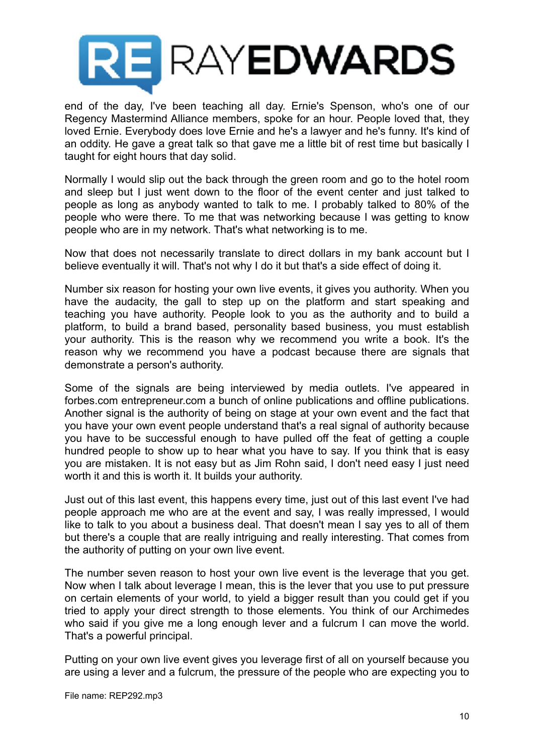

end of the day, I've been teaching all day. Ernie's Spenson, who's one of our Regency Mastermind Alliance members, spoke for an hour. People loved that, they loved Ernie. Everybody does love Ernie and he's a lawyer and he's funny. It's kind of an oddity. He gave a great talk so that gave me a little bit of rest time but basically I taught for eight hours that day solid.

Normally I would slip out the back through the green room and go to the hotel room and sleep but I just went down to the floor of the event center and just talked to people as long as anybody wanted to talk to me. I probably talked to 80% of the people who were there. To me that was networking because I was getting to know people who are in my network. That's what networking is to me.

Now that does not necessarily translate to direct dollars in my bank account but I believe eventually it will. That's not why I do it but that's a side effect of doing it.

Number six reason for hosting your own live events, it gives you authority. When you have the audacity, the gall to step up on the platform and start speaking and teaching you have authority. People look to you as the authority and to build a platform, to build a brand based, personality based business, you must establish your authority. This is the reason why we recommend you write a book. It's the reason why we recommend you have a podcast because there are signals that demonstrate a person's authority.

Some of the signals are being interviewed by media outlets. I've appeared in forbes.com entrepreneur.com a bunch of online publications and offline publications. Another signal is the authority of being on stage at your own event and the fact that you have your own event people understand that's a real signal of authority because you have to be successful enough to have pulled off the feat of getting a couple hundred people to show up to hear what you have to say. If you think that is easy you are mistaken. It is not easy but as Jim Rohn said, I don't need easy I just need worth it and this is worth it. It builds your authority.

Just out of this last event, this happens every time, just out of this last event I've had people approach me who are at the event and say, I was really impressed, I would like to talk to you about a business deal. That doesn't mean I say yes to all of them but there's a couple that are really intriguing and really interesting. That comes from the authority of putting on your own live event.

The number seven reason to host your own live event is the leverage that you get. Now when I talk about leverage I mean, this is the lever that you use to put pressure on certain elements of your world, to yield a bigger result than you could get if you tried to apply your direct strength to those elements. You think of our Archimedes who said if you give me a long enough lever and a fulcrum I can move the world. That's a powerful principal.

Putting on your own live event gives you leverage first of all on yourself because you are using a lever and a fulcrum, the pressure of the people who are expecting you to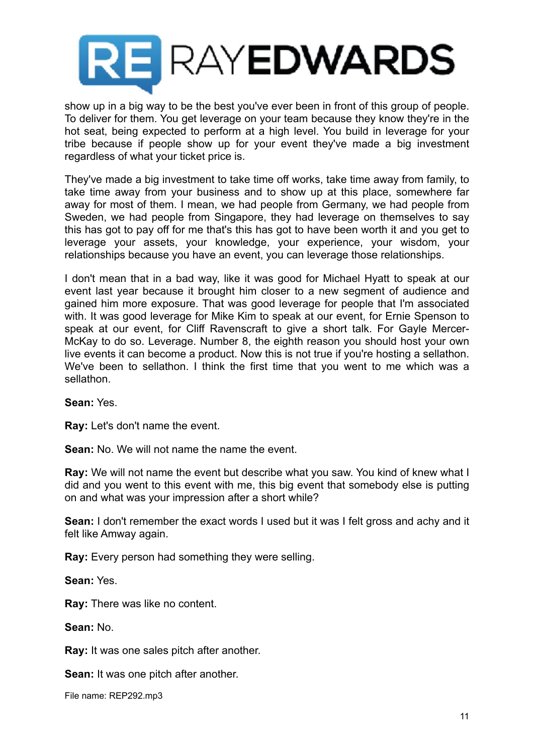

show up in a big way to be the best you've ever been in front of this group of people. To deliver for them. You get leverage on your team because they know they're in the hot seat, being expected to perform at a high level. You build in leverage for your tribe because if people show up for your event they've made a big investment regardless of what your ticket price is.

They've made a big investment to take time off works, take time away from family, to take time away from your business and to show up at this place, somewhere far away for most of them. I mean, we had people from Germany, we had people from Sweden, we had people from Singapore, they had leverage on themselves to say this has got to pay off for me that's this has got to have been worth it and you get to leverage your assets, your knowledge, your experience, your wisdom, your relationships because you have an event, you can leverage those relationships.

I don't mean that in a bad way, like it was good for Michael Hyatt to speak at our event last year because it brought him closer to a new segment of audience and gained him more exposure. That was good leverage for people that I'm associated with. It was good leverage for Mike Kim to speak at our event, for Ernie Spenson to speak at our event, for Cliff Ravenscraft to give a short talk. For Gayle Mercer-McKay to do so. Leverage. Number 8, the eighth reason you should host your own live events it can become a product. Now this is not true if you're hosting a sellathon. We've been to sellathon. I think the first time that you went to me which was a sellathon.

## **Sean:** Yes.

**Ray:** Let's don't name the event.

**Sean:** No. We will not name the name the event.

**Ray:** We will not name the event but describe what you saw. You kind of knew what I did and you went to this event with me, this big event that somebody else is putting on and what was your impression after a short while?

**Sean:** I don't remember the exact words I used but it was I felt gross and achy and it felt like Amway again.

**Ray:** Every person had something they were selling.

**Sean:** Yes.

**Ray:** There was like no content.

**Sean:** No.

**Ray:** It was one sales pitch after another.

**Sean:** It was one pitch after another.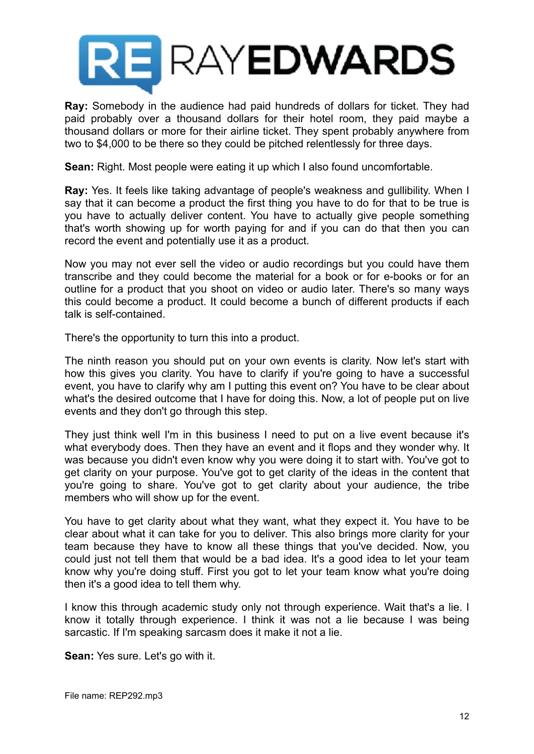

**Ray:** Somebody in the audience had paid hundreds of dollars for ticket. They had paid probably over a thousand dollars for their hotel room, they paid maybe a thousand dollars or more for their airline ticket. They spent probably anywhere from two to \$4,000 to be there so they could be pitched relentlessly for three days.

**Sean:** Right. Most people were eating it up which I also found uncomfortable.

**Ray:** Yes. It feels like taking advantage of people's weakness and gullibility. When I say that it can become a product the first thing you have to do for that to be true is you have to actually deliver content. You have to actually give people something that's worth showing up for worth paying for and if you can do that then you can record the event and potentially use it as a product.

Now you may not ever sell the video or audio recordings but you could have them transcribe and they could become the material for a book or for e-books or for an outline for a product that you shoot on video or audio later. There's so many ways this could become a product. It could become a bunch of different products if each talk is self-contained.

There's the opportunity to turn this into a product.

The ninth reason you should put on your own events is clarity. Now let's start with how this gives you clarity. You have to clarify if you're going to have a successful event, you have to clarify why am I putting this event on? You have to be clear about what's the desired outcome that I have for doing this. Now, a lot of people put on live events and they don't go through this step.

They just think well I'm in this business I need to put on a live event because it's what everybody does. Then they have an event and it flops and they wonder why. It was because you didn't even know why you were doing it to start with. You've got to get clarity on your purpose. You've got to get clarity of the ideas in the content that you're going to share. You've got to get clarity about your audience, the tribe members who will show up for the event.

You have to get clarity about what they want, what they expect it. You have to be clear about what it can take for you to deliver. This also brings more clarity for your team because they have to know all these things that you've decided. Now, you could just not tell them that would be a bad idea. It's a good idea to let your team know why you're doing stuff. First you got to let your team know what you're doing then it's a good idea to tell them why.

I know this through academic study only not through experience. Wait that's a lie. I know it totally through experience. I think it was not a lie because I was being sarcastic. If I'm speaking sarcasm does it make it not a lie.

**Sean:** Yes sure. Let's go with it.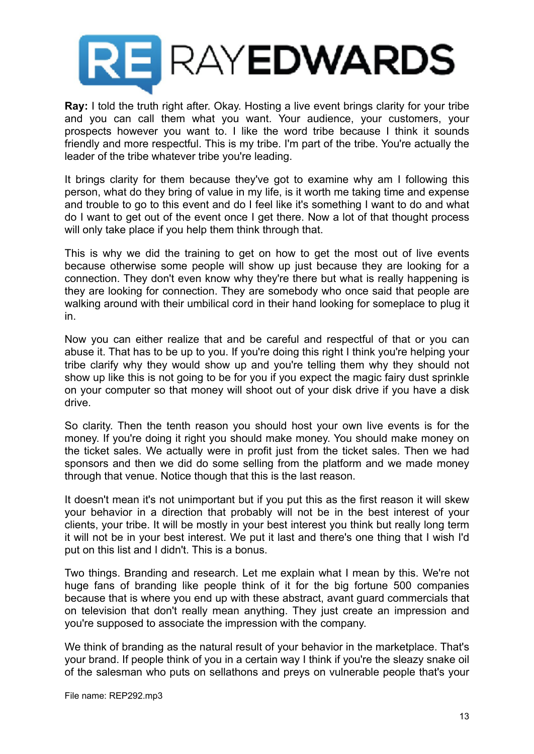

**Ray:** I told the truth right after. Okay. Hosting a live event brings clarity for your tribe and you can call them what you want. Your audience, your customers, your prospects however you want to. I like the word tribe because I think it sounds friendly and more respectful. This is my tribe. I'm part of the tribe. You're actually the leader of the tribe whatever tribe you're leading.

It brings clarity for them because they've got to examine why am I following this person, what do they bring of value in my life, is it worth me taking time and expense and trouble to go to this event and do I feel like it's something I want to do and what do I want to get out of the event once I get there. Now a lot of that thought process will only take place if you help them think through that.

This is why we did the training to get on how to get the most out of live events because otherwise some people will show up just because they are looking for a connection. They don't even know why they're there but what is really happening is they are looking for connection. They are somebody who once said that people are walking around with their umbilical cord in their hand looking for someplace to plug it in.

Now you can either realize that and be careful and respectful of that or you can abuse it. That has to be up to you. If you're doing this right I think you're helping your tribe clarify why they would show up and you're telling them why they should not show up like this is not going to be for you if you expect the magic fairy dust sprinkle on your computer so that money will shoot out of your disk drive if you have a disk drive.

So clarity. Then the tenth reason you should host your own live events is for the money. If you're doing it right you should make money. You should make money on the ticket sales. We actually were in profit just from the ticket sales. Then we had sponsors and then we did do some selling from the platform and we made money through that venue. Notice though that this is the last reason.

It doesn't mean it's not unimportant but if you put this as the first reason it will skew your behavior in a direction that probably will not be in the best interest of your clients, your tribe. It will be mostly in your best interest you think but really long term it will not be in your best interest. We put it last and there's one thing that I wish I'd put on this list and I didn't. This is a bonus.

Two things. Branding and research. Let me explain what I mean by this. We're not huge fans of branding like people think of it for the big fortune 500 companies because that is where you end up with these abstract, avant guard commercials that on television that don't really mean anything. They just create an impression and you're supposed to associate the impression with the company.

We think of branding as the natural result of your behavior in the marketplace. That's your brand. If people think of you in a certain way I think if you're the sleazy snake oil of the salesman who puts on sellathons and preys on vulnerable people that's your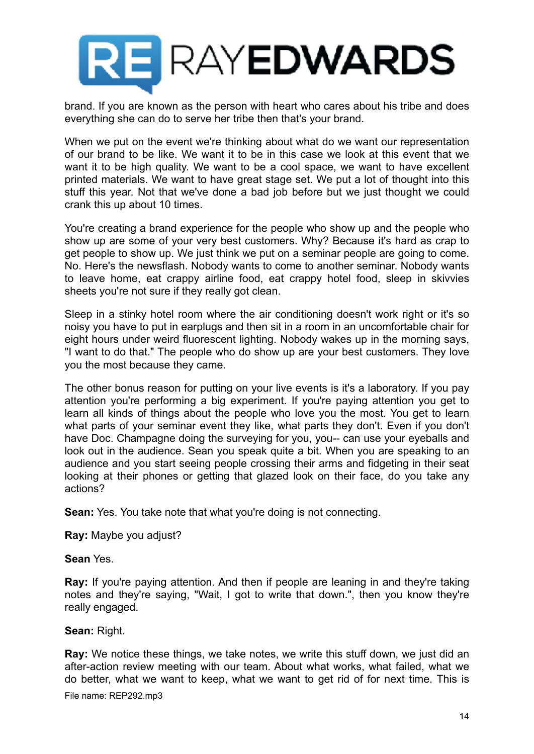

brand. If you are known as the person with heart who cares about his tribe and does everything she can do to serve her tribe then that's your brand.

When we put on the event we're thinking about what do we want our representation of our brand to be like. We want it to be in this case we look at this event that we want it to be high quality. We want to be a cool space, we want to have excellent printed materials. We want to have great stage set. We put a lot of thought into this stuff this year. Not that we've done a bad job before but we just thought we could crank this up about 10 times.

You're creating a brand experience for the people who show up and the people who show up are some of your very best customers. Why? Because it's hard as crap to get people to show up. We just think we put on a seminar people are going to come. No. Here's the newsflash. Nobody wants to come to another seminar. Nobody wants to leave home, eat crappy airline food, eat crappy hotel food, sleep in skivvies sheets you're not sure if they really got clean.

Sleep in a stinky hotel room where the air conditioning doesn't work right or it's so noisy you have to put in earplugs and then sit in a room in an uncomfortable chair for eight hours under weird fluorescent lighting. Nobody wakes up in the morning says, "I want to do that." The people who do show up are your best customers. They love you the most because they came.

The other bonus reason for putting on your live events is it's a laboratory. If you pay attention you're performing a big experiment. If you're paying attention you get to learn all kinds of things about the people who love you the most. You get to learn what parts of your seminar event they like, what parts they don't. Even if you don't have Doc. Champagne doing the surveying for you, you-- can use your eyeballs and look out in the audience. Sean you speak quite a bit. When you are speaking to an audience and you start seeing people crossing their arms and fidgeting in their seat looking at their phones or getting that glazed look on their face, do you take any actions?

**Sean:** Yes. You take note that what you're doing is not connecting.

**Ray:** Maybe you adjust?

**Sean** Yes.

**Ray:** If you're paying attention. And then if people are leaning in and they're taking notes and they're saying, "Wait, I got to write that down.", then you know they're really engaged.

**Sean:** Right.

**Ray:** We notice these things, we take notes, we write this stuff down, we just did an after-action review meeting with our team. About what works, what failed, what we do better, what we want to keep, what we want to get rid of for next time. This is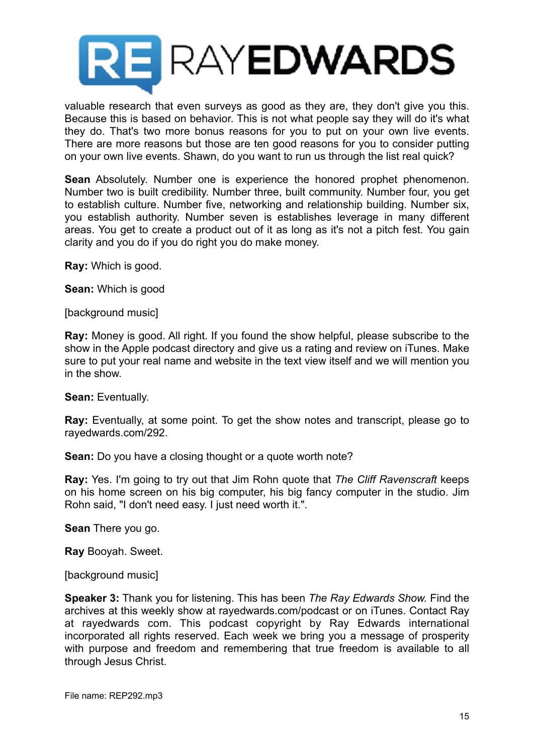

valuable research that even surveys as good as they are, they don't give you this. Because this is based on behavior. This is not what people say they will do it's what they do. That's two more bonus reasons for you to put on your own live events. There are more reasons but those are ten good reasons for you to consider putting on your own live events. Shawn, do you want to run us through the list real quick?

**Sean** Absolutely. Number one is experience the honored prophet phenomenon. Number two is built credibility. Number three, built community. Number four, you get to establish culture. Number five, networking and relationship building. Number six, you establish authority. Number seven is establishes leverage in many different areas. You get to create a product out of it as long as it's not a pitch fest. You gain clarity and you do if you do right you do make money.

**Ray:** Which is good.

**Sean:** Which is good

[background music]

**Ray:** Money is good. All right. If you found the show helpful, please subscribe to the show in the Apple podcast directory and give us a rating and review on iTunes. Make sure to put your real name and website in the text view itself and we will mention you in the show.

**Sean:** Eventually.

**Ray:** Eventually, at some point. To get the show notes and transcript, please go to rayedwards.com/292.

**Sean:** Do you have a closing thought or a quote worth note?

**Ray:** Yes. I'm going to try out that Jim Rohn quote that *The Cliff Ravenscraft* keeps on his home screen on his big computer, his big fancy computer in the studio. Jim Rohn said, "I don't need easy. I just need worth it.".

**Sean** There you go.

**Ray** Booyah. Sweet.

[background music]

**Speaker 3:** Thank you for listening. This has been *The Ray Edwards Show.* Find the archives at this weekly show at rayedwards.com/podcast or on iTunes. Contact Ray at rayedwards com. This podcast copyright by Ray Edwards international incorporated all rights reserved. Each week we bring you a message of prosperity with purpose and freedom and remembering that true freedom is available to all through Jesus Christ.